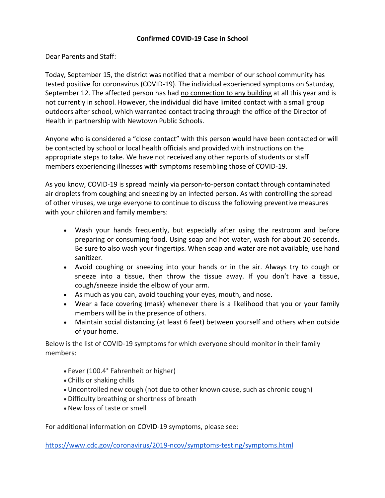## **Confirmed COVID-19 Case in School**

Dear Parents and Staff:

Today, September 15, the district was notified that a member of our school community has tested positive for coronavirus (COVID-19). The individual experienced symptoms on Saturday, September 12. The affected person has had no connection to any building at all this year and is not currently in school. However, the individual did have limited contact with a small group outdoors after school, which warranted contact tracing through the office of the Director of Health in partnership with Newtown Public Schools.

Anyone who is considered a "close contact" with this person would have been contacted or will be contacted by school or local health officials and provided with instructions on the appropriate steps to take. We have not received any other reports of students or staff members experiencing illnesses with symptoms resembling those of COVID-19.

As you know, COVID-19 is spread mainly via person-to-person contact through contaminated air droplets from coughing and sneezing by an infected person. As with controlling the spread of other viruses, we urge everyone to continue to discuss the following preventive measures with your children and family members:

- Wash your hands frequently, but especially after using the restroom and before preparing or consuming food. Using soap and hot water, wash for about 20 seconds. Be sure to also wash your fingertips. When soap and water are not available, use hand sanitizer.
- Avoid coughing or sneezing into your hands or in the air. Always try to cough or sneeze into a tissue, then throw the tissue away. If you don't have a tissue, cough/sneeze inside the elbow of your arm.
- As much as you can, avoid touching your eyes, mouth, and nose.
- Wear a face covering (mask) whenever there is a likelihood that you or your family members will be in the presence of others.
- Maintain social distancing (at least 6 feet) between yourself and others when outside of your home.

Below is the list of COVID-19 symptoms for which everyone should monitor in their family members:

- Fever (100.4° Fahrenheit or higher)
- Chills or shaking chills
- Uncontrolled new cough (not due to other known cause, such as chronic cough)
- Difficulty breathing or shortness of breath
- New loss of taste or smell

For additional information on COVID-19 symptoms, please see:

[https://www.cdc.gov/coronavirus/2019-ncov/symptoms-testing/symptoms.html](http://track.spe.schoolmessenger.com/f/a/w2NvpEl1XshevuYglYq4cw%7E%7E/AAAAAQA%7E/RgRhQj9DP0RIaHR0cHM6Ly93d3cuY2RjLmdvdi9jb3JvbmF2aXJ1cy8yMDE5LW5jb3Yvc3ltcHRvbXMtdGVzdGluZy9zeW1wdG9tcy5odG1sVwdzY2hvb2xtQgoARsMLYV__REyRUhtyb2RyaWd1ZWxAbmV3dG93bi5rMTIuY3QudXNYBAAAAAE%7E)